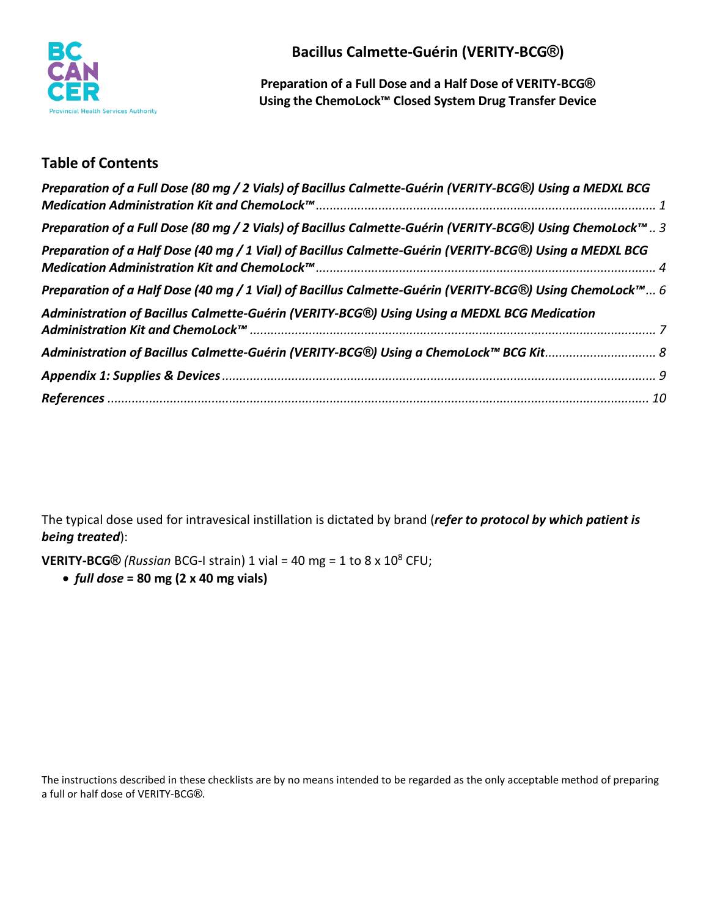

**Bacillus Calmette-Guérin (VERITY-BCG®)**

**Preparation of a Full Dose and a Half Dose of VERITY-BCG® Using the ChemoLock™ Closed System Drug Transfer Device**

# **Table of Contents**

| Preparation of a Full Dose (80 mg / 2 Vials) of Bacillus Calmette-Guérin (VERITY-BCG®) Using a MEDXL BCG   |
|------------------------------------------------------------------------------------------------------------|
| Preparation of a Full Dose (80 mg / 2 Vials) of Bacillus Calmette-Guérin (VERITY-BCG®) Using ChemoLock™  3 |
| Preparation of a Half Dose (40 mg / 1 Vial) of Bacillus Calmette-Guérin (VERITY-BCG®) Using a MEDXL BCG    |
| Preparation of a Half Dose (40 mg / 1 Vial) of Bacillus Calmette-Guérin (VERITY-BCG®) Using ChemoLock™ 6   |
| Administration of Bacillus Calmette-Guérin (VERITY-BCG®) Using Using a MEDXL BCG Medication                |
|                                                                                                            |
|                                                                                                            |
|                                                                                                            |

The typical dose used for intravesical instillation is dictated by brand (*refer to protocol by which patient is being treated*):

**VERITY-BCG** $\textcircled{}$  *(Russian* BCG-I strain) 1 vial = 40 mg = 1 to 8 x 10<sup>8</sup> CFU;

• *full dose* **= 80 mg (2 x 40 mg vials)**

The instructions described in these checklists are by no means intended to be regarded as the only acceptable method of preparing a full or half dose of VERITY-BCG®.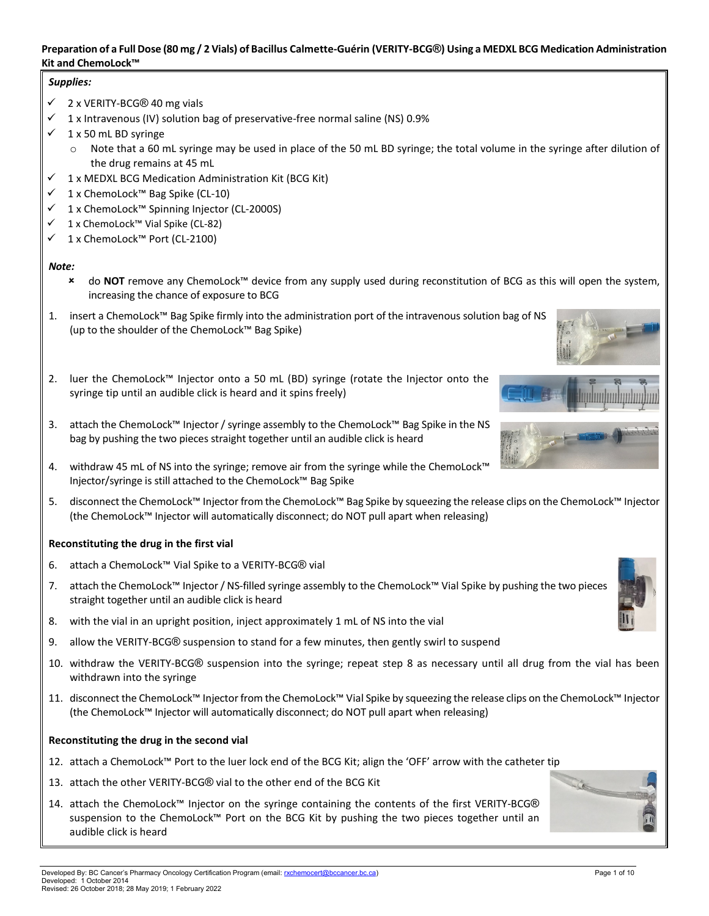#### <span id="page-1-0"></span>**Preparation of a Full Dose (80 mg / 2 Vials) of Bacillus Calmette-Guérin (VERITY-BCG®) Using a MEDXL BCG Medication Administration Kit and ChemoLock™**

# *Supplies:*

- $\checkmark$  2 x VERITY-BCG® 40 mg vials
- $\checkmark$  1 x Intravenous (IV) solution bag of preservative-free normal saline (NS) 0.9%
- 1 x 50 mL BD syringe
	- $\circ$  Note that a 60 mL syringe may be used in place of the 50 mL BD syringe; the total volume in the syringe after dilution of the drug remains at 45 mL
- 1 x MEDXL BCG Medication Administration Kit (BCG Kit)
- 1 x ChemoLock™ Bag Spike (CL-10)
- 1 x ChemoLock™ Spinning Injector (CL-2000S)
- 1 x ChemoLock™ Vial Spike (CL-82)
- 1 x ChemoLock™ Port (CL-2100)

# *Note:*

- do **NOT** remove any ChemoLock™ device from any supply used during reconstitution of BCG as this will open the system, increasing the chance of exposure to BCG
- 1. insert a ChemoLock™ Bag Spike firmly into the administration port of the intravenous solution bag of NS (up to the shoulder of the ChemoLock™ Bag Spike)
- 2. luer the ChemoLock™ Injector onto a 50 mL (BD) syringe (rotate the Injector onto the syringe tip until an audible click is heard and it spins freely)
- 3. attach the ChemoLock™ Injector / syringe assembly to the ChemoLock™ Bag Spike in the NS bag by pushing the two pieces straight together until an audible click is heard
- 4. withdraw 45 mL of NS into the syringe; remove air from the syringe while the ChemoLock™ Injector/syringe is still attached to the ChemoLock™ Bag Spike
- 5. disconnect the ChemoLock™ Injector from the ChemoLock™ Bag Spike by squeezing the release clips on the ChemoLock™ Injector (the ChemoLock™ Injector will automatically disconnect; do NOT pull apart when releasing)

# **Reconstituting the drug in the first vial**

- 6. attach a ChemoLock™ Vial Spike to a VERITY-BCG® vial
- 7. attach the ChemoLock™ Injector / NS-filled syringe assembly to the ChemoLock™ Vial Spike by pushing the two pieces straight together until an audible click is heard
- 8. with the vial in an upright position, inject approximately 1 mL of NS into the vial
- 9. allow the VERITY-BCG® suspension to stand for a few minutes, then gently swirl to suspend
- 10. withdraw the VERITY-BCG® suspension into the syringe; repeat step 8 as necessary until all drug from the vial has been withdrawn into the syringe
- 11. disconnect the ChemoLock™ Injector from the ChemoLock™ Vial Spike by squeezing the release clips on the ChemoLock™ Injector (the ChemoLock™ Injector will automatically disconnect; do NOT pull apart when releasing)

# **Reconstituting the drug in the second vial**

- 12. attach a ChemoLock™ Port to the luer lock end of the BCG Kit; align the 'OFF' arrow with the catheter tip
- 13. attach the other VERITY-BCG® vial to the other end of the BCG Kit
- 14. attach the ChemoLock™ Injector on the syringe containing the contents of the first VERITY-BCG® suspension to the ChemoLock™ Port on the BCG Kit by pushing the two pieces together until an audible click is heard









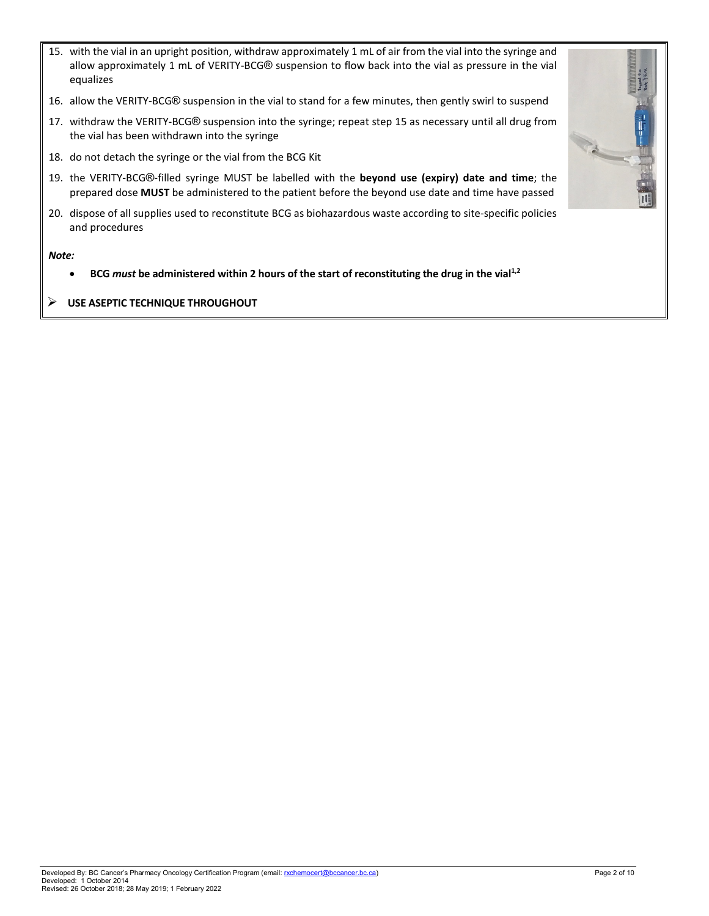- 15. with the vial in an upright position, withdraw approximately 1 mL of air from the vial into the syringe and allow approximately 1 mL of VERITY-BCG® suspension to flow back into the vial as pressure in the vial equalizes
- 16. allow the VERITY-BCG® suspension in the vial to stand for a few minutes, then gently swirl to suspend
- 17. withdraw the VERITY-BCG® suspension into the syringe; repeat step 15 as necessary until all drug from the vial has been withdrawn into the syringe
- 18. do not detach the syringe or the vial from the BCG Kit
- 19. the VERITY-BCG®-filled syringe MUST be labelled with the **beyond use (expiry) date and time**; the prepared dose **MUST** be administered to the patient before the beyond use date and time have passed
- 20. dispose of all supplies used to reconstitute BCG as biohazardous waste according to site-specific policies and procedures

- **BCG** *must* **be administered within 2 hours of the start of reconstituting the drug in the vial1,2**
- **USE ASEPTIC TECHNIQUE THROUGHOUT**

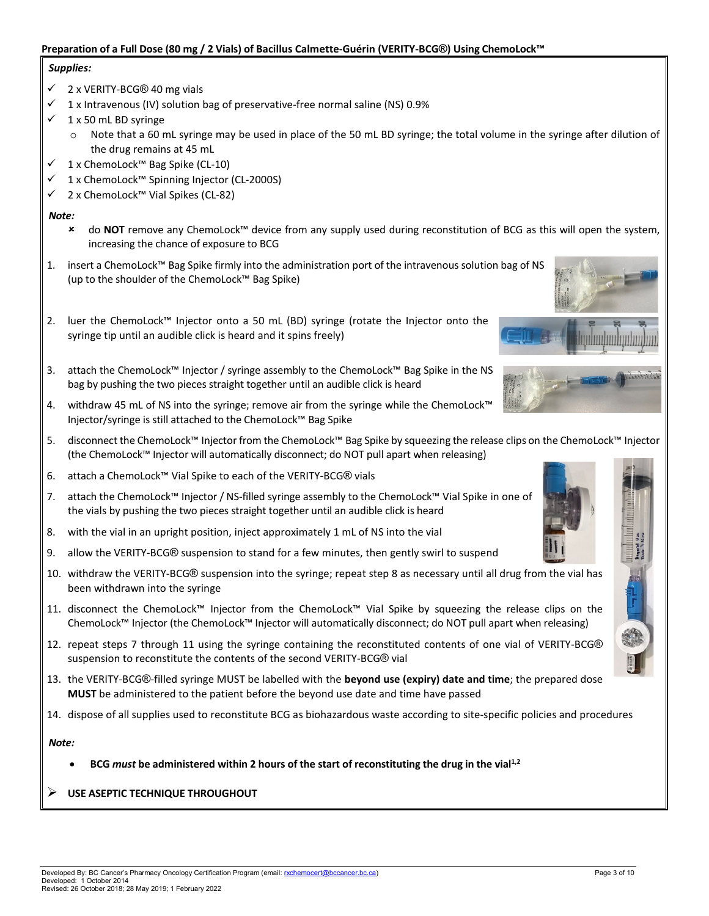#### <span id="page-3-0"></span>**Preparation of a Full Dose (80 mg / 2 Vials) of Bacillus Calmette-Guérin (VERITY-BCG®) Using ChemoLock™**

#### *Supplies:*

- 2 x VERITY-BCG® 40 mg vials
- 1 x Intravenous (IV) solution bag of preservative-free normal saline (NS) 0.9%
- 1 x 50 mL BD syringe
	- o Note that a 60 mL syringe may be used in place of the 50 mL BD syringe; the total volume in the syringe after dilution of the drug remains at 45 mL
- 1 x ChemoLock™ Bag Spike (CL-10)
- 1 x ChemoLock™ Spinning Injector (CL-2000S)
- 2 x ChemoLock™ Vial Spikes (CL-82)

#### *Note:*

- do **NOT** remove any ChemoLock™ device from any supply used during reconstitution of BCG as this will open the system, increasing the chance of exposure to BCG
- 1. insert a ChemoLock™ Bag Spike firmly into the administration port of the intravenous solution bag of NS (up to the shoulder of the ChemoLock™ Bag Spike)
- 2. luer the ChemoLock™ Injector onto a 50 mL (BD) syringe (rotate the Injector onto the syringe tip until an audible click is heard and it spins freely)
- 3. attach the ChemoLock™ Injector / syringe assembly to the ChemoLock™ Bag Spike in the NS bag by pushing the two pieces straight together until an audible click is heard
- 4. withdraw 45 mL of NS into the syringe; remove air from the syringe while the ChemoLock™ Injector/syringe is still attached to the ChemoLock™ Bag Spike
- 5. disconnect the ChemoLock™ Injector from the ChemoLock™ Bag Spike by squeezing the release clips on the ChemoLock™ Injector (the ChemoLock™ Injector will automatically disconnect; do NOT pull apart when releasing)
- 6. attach a ChemoLock™ Vial Spike to each of the VERITY-BCG® vials
- 7. attach the ChemoLock™ Injector / NS-filled syringe assembly to the ChemoLock™ Vial Spike in one of the vials by pushing the two pieces straight together until an audible click is heard
- 8. with the vial in an upright position, inject approximately 1 mL of NS into the vial
- 9. allow the VERITY-BCG® suspension to stand for a few minutes, then gently swirl to suspend
- 10. withdraw the VERITY-BCG® suspension into the syringe; repeat step 8 as necessary until all drug from the vial has been withdrawn into the syringe
- 11. disconnect the ChemoLock™ Injector from the ChemoLock™ Vial Spike by squeezing the release clips on the ChemoLock™ Injector (the ChemoLock™ Injector will automatically disconnect; do NOT pull apart when releasing)
- 12. repeat steps 7 through 11 using the syringe containing the reconstituted contents of one vial of VERITY-BCG® suspension to reconstitute the contents of the second VERITY-BCG® vial
- 13. the VERITY-BCG®-filled syringe MUST be labelled with the **beyond use (expiry) date and time**; the prepared dose **MUST** be administered to the patient before the beyond use date and time have passed
- 14. dispose of all supplies used to reconstitute BCG as biohazardous waste according to site-specific policies and procedures

*Note:*

• **BCG** *must* **be administered within 2 hours of the start of reconstituting the drug in the vial1,2**

#### **USE ASEPTIC TECHNIQUE THROUGHOUT**







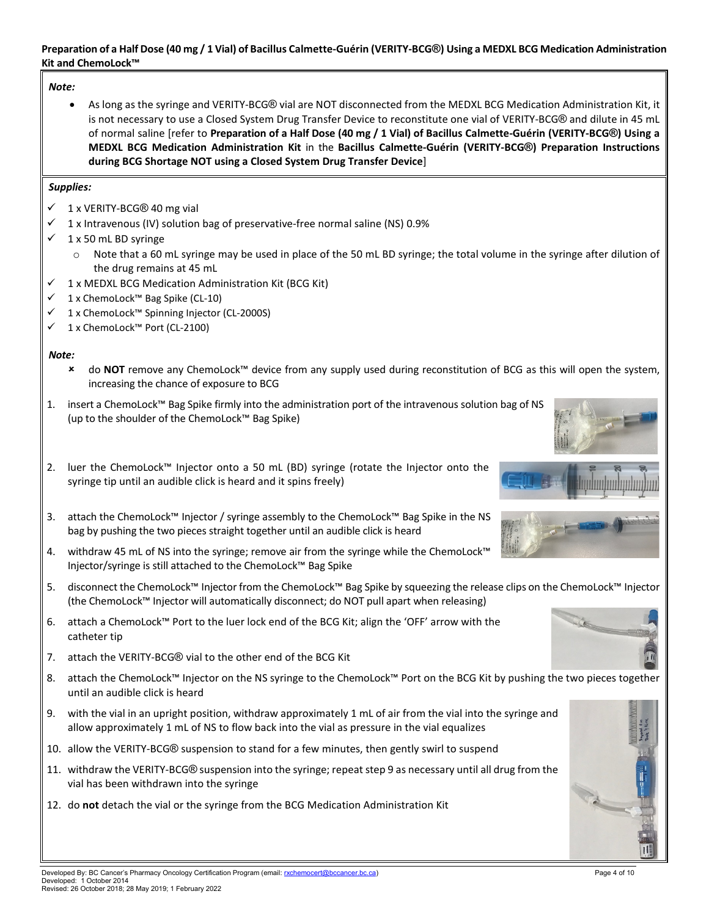#### <span id="page-4-0"></span>**Preparation of a Half Dose (40 mg / 1 Vial) of Bacillus Calmette-Guérin (VERITY-BCG®) Using a MEDXL BCG Medication Administration Kit and ChemoLock™**

# *Note:*

• As long as the syringe and VERITY-BCG® vial are NOT disconnected from the MEDXL BCG Medication Administration Kit, it is not necessary to use a Closed System Drug Transfer Device to reconstitute one vial of VERITY-BCG® and dilute in 45 mL of normal saline [refer to **Preparation of a Half Dose (40 mg / 1 Vial) of Bacillus Calmette-Guérin (VERITY-BCG®) Using a MEDXL BCG Medication Administration Kit** in the **Bacillus Calmette-Guérin (VERITY-BCG®) Preparation Instructions during BCG Shortage NOT using a Closed System Drug Transfer Device**]

# *Supplies:*

- $\checkmark$  1 x VERITY-BCG® 40 mg vial
- 1 x Intravenous (IV) solution bag of preservative-free normal saline (NS) 0.9%
- $\checkmark$  1 x 50 mL BD syringe
	- o Note that a 60 mL syringe may be used in place of the 50 mL BD syringe; the total volume in the syringe after dilution of the drug remains at 45 mL
- $1 x$  MEDXL BCG Medication Administration Kit (BCG Kit)
- 1 x ChemoLock™ Bag Spike (CL-10)
- 1 x ChemoLock™ Spinning Injector (CL-2000S)
- 1 x ChemoLock™ Port (CL-2100)

# *Note:*

- do **NOT** remove any ChemoLock™ device from any supply used during reconstitution of BCG as this will open the system, increasing the chance of exposure to BCG
- 1. insert a ChemoLock™ Bag Spike firmly into the administration port of the intravenous solution bag of NS (up to the shoulder of the ChemoLock™ Bag Spike)
- 2. luer the ChemoLock™ Injector onto a 50 mL (BD) syringe (rotate the Injector onto the syringe tip until an audible click is heard and it spins freely)
- 3. attach the ChemoLock™ Injector / syringe assembly to the ChemoLock™ Bag Spike in the NS bag by pushing the two pieces straight together until an audible click is heard
- 4. withdraw 45 mL of NS into the syringe; remove air from the syringe while the ChemoLock™ Injector/syringe is still attached to the ChemoLock™ Bag Spike
- 5. disconnect the ChemoLock™ Injector from the ChemoLock™ Bag Spike by squeezing the release clips on the ChemoLock™ Injector (the ChemoLock™ Injector will automatically disconnect; do NOT pull apart when releasing)
- 6. attach a ChemoLock™ Port to the luer lock end of the BCG Kit; align the 'OFF' arrow with the catheter tip
- 7. attach the VERITY-BCG® vial to the other end of the BCG Kit
- 8. attach the ChemoLock™ Injector on the NS syringe to the ChemoLock™ Port on the BCG Kit by pushing the two pieces together until an audible click is heard
- 9. with the vial in an upright position, withdraw approximately 1 mL of air from the vial into the syringe and allow approximately 1 mL of NS to flow back into the vial as pressure in the vial equalizes
- 10. allow the VERITY-BCG® suspension to stand for a few minutes, then gently swirl to suspend
- 11. withdraw the VERITY-BCG® suspension into the syringe; repeat step 9 as necessary until all drug from the vial has been withdrawn into the syringe
- 12. do **not** detach the vial or the syringe from the BCG Medication Administration Kit







Developed By: BC Cancer's Pharmacy Oncology Certification Program (email[: rxchemocert@bccancer.bc.ca\)](mailto:rxchemocert@bccancer.bc.ca) Page 4 of 10 Developed: 1 October 2014 Revised: 26 October 2018; 28 May 2019; 1 February 2022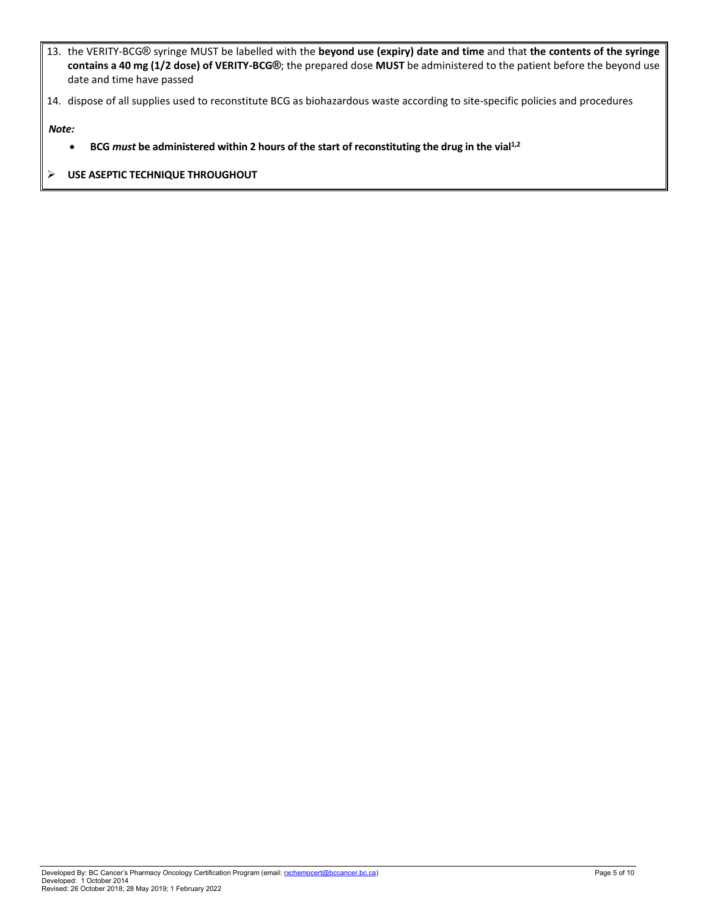13. the VERITY-BCG® syringe MUST be labelled with the **beyond use (expiry) date and time** and that **the contents of the syringe contains a 40 mg (1/2 dose) of VERITY-BCG®**; the prepared dose **MUST** be administered to the patient before the beyond use date and time have passed

14. dispose of all supplies used to reconstitute BCG as biohazardous waste according to site-specific policies and procedures

- **BCG** *must* **be administered within 2 hours of the start of reconstituting the drug in the vial1,2**
- **USE ASEPTIC TECHNIQUE THROUGHOUT**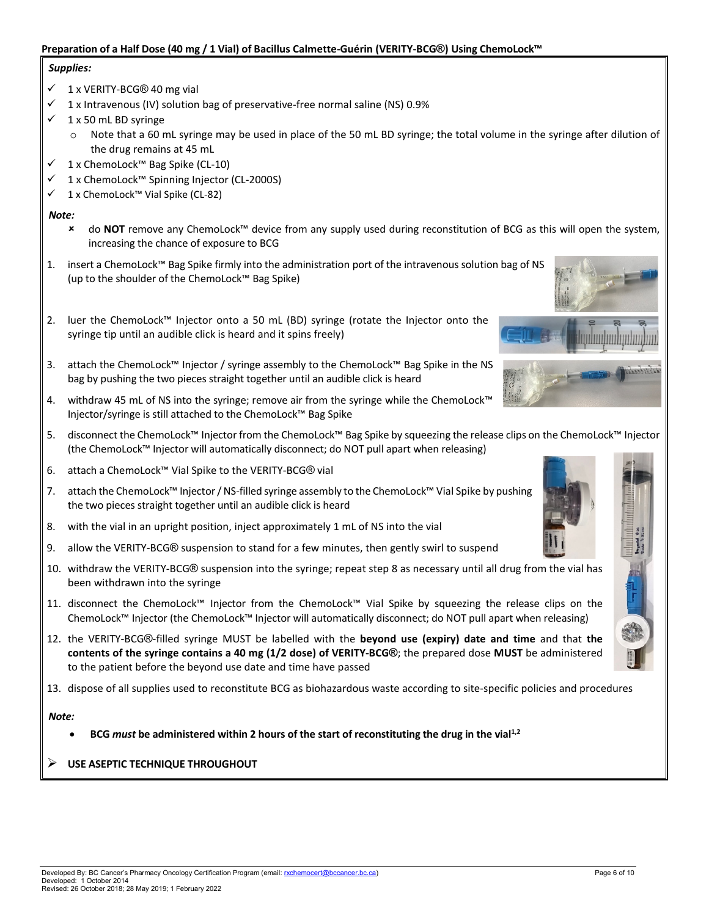#### <span id="page-6-0"></span>**Preparation of a Half Dose (40 mg / 1 Vial) of Bacillus Calmette-Guérin (VERITY-BCG®) Using ChemoLock™**

#### *Supplies:*

- 1 x VERITY-BCG® 40 mg vial
- 1 x Intravenous (IV) solution bag of preservative-free normal saline (NS) 0.9%
- 1 x 50 mL BD syringe
	- o Note that a 60 mL syringe may be used in place of the 50 mL BD syringe; the total volume in the syringe after dilution of the drug remains at 45 mL
- 1 x ChemoLock™ Bag Spike (CL-10)
- 1 x ChemoLock™ Spinning Injector (CL-2000S)
- 1 x ChemoLock™ Vial Spike (CL-82)

#### *Note:*

- do **NOT** remove any ChemoLock™ device from any supply used during reconstitution of BCG as this will open the system, increasing the chance of exposure to BCG
- 1. insert a ChemoLock™ Bag Spike firmly into the administration port of the intravenous solution bag of NS (up to the shoulder of the ChemoLock™ Bag Spike)
- 2. luer the ChemoLock™ Injector onto a 50 mL (BD) syringe (rotate the Injector onto the syringe tip until an audible click is heard and it spins freely)
- 3. attach the ChemoLock™ Injector / syringe assembly to the ChemoLock™ Bag Spike in the NS bag by pushing the two pieces straight together until an audible click is heard
- 4. withdraw 45 mL of NS into the syringe; remove air from the syringe while the ChemoLock™ Injector/syringe is still attached to the ChemoLock™ Bag Spike
- 5. disconnect the ChemoLock™ Injector from the ChemoLock™ Bag Spike by squeezing the release clips on the ChemoLock™ Injector (the ChemoLock™ Injector will automatically disconnect; do NOT pull apart when releasing)
- 6. attach a ChemoLock™ Vial Spike to the VERITY-BCG® vial
- 7. attach the ChemoLock™ Injector / NS-filled syringe assembly to the ChemoLock™ Vial Spike by pushing the two pieces straight together until an audible click is heard
- 8. with the vial in an upright position, inject approximately 1 mL of NS into the vial
- 9. allow the VERITY-BCG® suspension to stand for a few minutes, then gently swirl to suspend
- 10. withdraw the VERITY-BCG® suspension into the syringe; repeat step 8 as necessary until all drug from the vial has been withdrawn into the syringe
- 11. disconnect the ChemoLock™ Injector from the ChemoLock™ Vial Spike by squeezing the release clips on the ChemoLock™ Injector (the ChemoLock™ Injector will automatically disconnect; do NOT pull apart when releasing)
- 12. the VERITY-BCG®-filled syringe MUST be labelled with the **beyond use (expiry) date and time** and that **the contents of the syringe contains a 40 mg (1/2 dose) of VERITY-BCG®**; the prepared dose **MUST** be administered to the patient before the beyond use date and time have passed
- 13. dispose of all supplies used to reconstitute BCG as biohazardous waste according to site-specific policies and procedures

- **BCG** *must* **be administered within 2 hours of the start of reconstituting the drug in the vial1,2**
- **USE ASEPTIC TECHNIQUE THROUGHOUT**







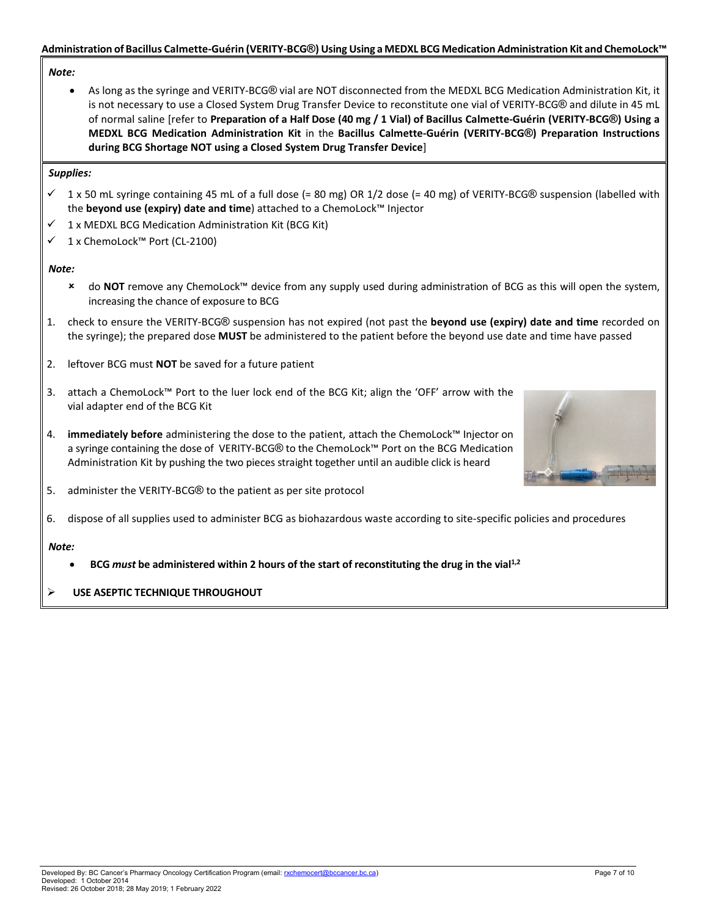#### <span id="page-7-0"></span>**Administration of Bacillus Calmette-Guérin (VERITY-BCG®) Using Using a MEDXL BCG Medication Administration Kit and ChemoLock™**

#### *Note:*

• As long as the syringe and VERITY-BCG® vial are NOT disconnected from the MEDXL BCG Medication Administration Kit, it is not necessary to use a Closed System Drug Transfer Device to reconstitute one vial of VERITY-BCG® and dilute in 45 mL of normal saline [refer to **Preparation of a Half Dose (40 mg / 1 Vial) of Bacillus Calmette-Guérin (VERITY-BCG®) Using a MEDXL BCG Medication Administration Kit** in the **Bacillus Calmette-Guérin (VERITY-BCG®) Preparation Instructions during BCG Shortage NOT using a Closed System Drug Transfer Device**]

#### *Supplies:*

- $\checkmark$  1 x 50 mL syringe containing 45 mL of a full dose (= 80 mg) OR 1/2 dose (= 40 mg) of VERITY-BCG® suspension (labelled with the **beyond use (expiry) date and time**) attached to a ChemoLock™ Injector
- $\checkmark$  1 x MEDXL BCG Medication Administration Kit (BCG Kit)
- 1 x ChemoLock™ Port (CL-2100)

#### *Note:*

- do **NOT** remove any ChemoLock™ device from any supply used during administration of BCG as this will open the system, increasing the chance of exposure to BCG
- 1. check to ensure the VERITY-BCG® suspension has not expired (not past the **beyond use (expiry) date and time** recorded on the syringe); the prepared dose **MUST** be administered to the patient before the beyond use date and time have passed
- 2. leftover BCG must **NOT** be saved for a future patient
- 3. attach a ChemoLock™ Port to the luer lock end of the BCG Kit; align the 'OFF' arrow with the vial adapter end of the BCG Kit
- 4. **immediately before** administering the dose to the patient, attach the ChemoLock™ Injector on a syringe containing the dose of VERITY-BCG® to the ChemoLock™ Port on the BCG Medication Administration Kit by pushing the two pieces straight together until an audible click is heard



- 5. administer the VERITY-BCG® to the patient as per site protocol
- 6. dispose of all supplies used to administer BCG as biohazardous waste according to site-specific policies and procedures

- **BCG** *must* **be administered within 2 hours of the start of reconstituting the drug in the vial1,2**
- **USE ASEPTIC TECHNIQUE THROUGHOUT**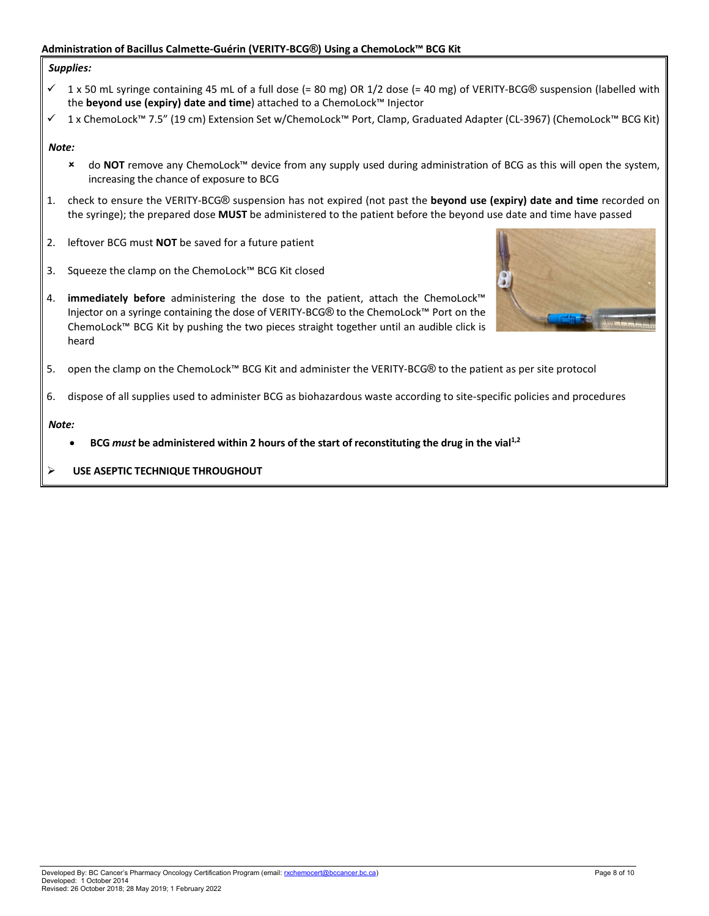#### <span id="page-8-0"></span>**Administration of Bacillus Calmette-Guérin (VERITY-BCG®) Using a ChemoLock™ BCG Kit**

#### *Supplies:*

- $\checkmark$  1 x 50 mL syringe containing 45 mL of a full dose (= 80 mg) OR 1/2 dose (= 40 mg) of VERITY-BCG® suspension (labelled with the **beyond use (expiry) date and time**) attached to a ChemoLock™ Injector
- 1 x ChemoLock™ 7.5" (19 cm) Extension Set w/ChemoLock™ Port, Clamp, Graduated Adapter (CL-3967) (ChemoLock™ BCG Kit)

#### *Note:*

- do **NOT** remove any ChemoLock™ device from any supply used during administration of BCG as this will open the system, increasing the chance of exposure to BCG
- 1. check to ensure the VERITY-BCG® suspension has not expired (not past the **beyond use (expiry) date and time** recorded on the syringe); the prepared dose **MUST** be administered to the patient before the beyond use date and time have passed
- 2. leftover BCG must **NOT** be saved for a future patient
- 3. Squeeze the clamp on the ChemoLock™ BCG Kit closed



- 4. **immediately before** administering the dose to the patient, attach the ChemoLock™ Injector on a syringe containing the dose of VERITY-BCG® to the ChemoLock™ Port on the ChemoLock™ BCG Kit by pushing the two pieces straight together until an audible click is heard
- 5. open the clamp on the ChemoLock™ BCG Kit and administer the VERITY-BCG® to the patient as per site protocol
- 6. dispose of all supplies used to administer BCG as biohazardous waste according to site-specific policies and procedures

- **BCG** *must* **be administered within 2 hours of the start of reconstituting the drug in the vial1,2**
- **USE ASEPTIC TECHNIQUE THROUGHOUT**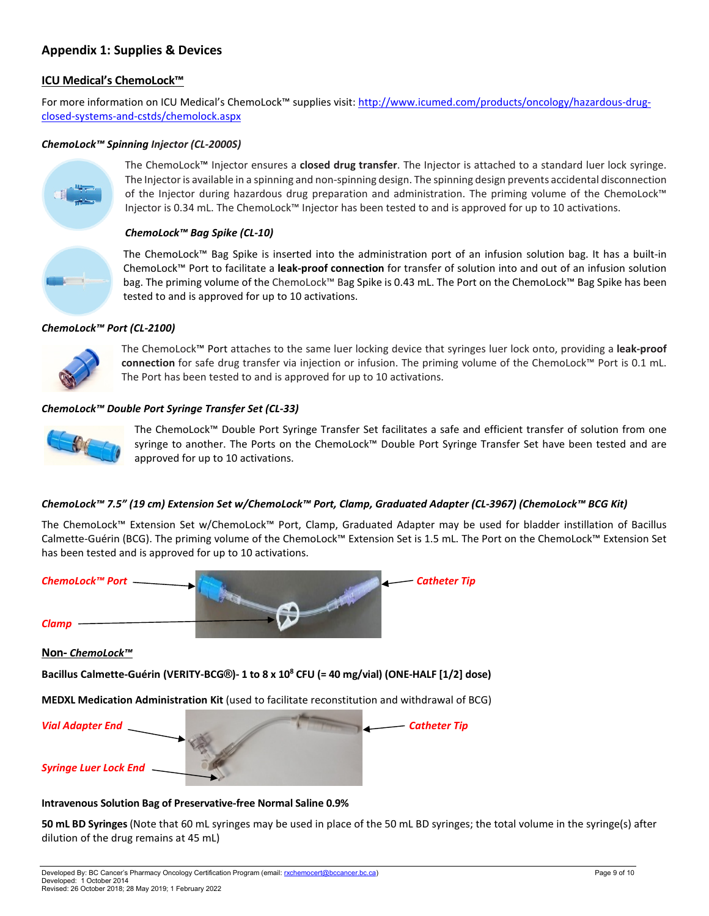# <span id="page-9-0"></span>**Appendix 1: Supplies & Devices**

# **ICU Medical's ChemoLock™**

For more information on ICU Medical's ChemoLock™ supplies visit[: http://www.icumed.com/products/oncology/hazardous-drug](http://www.icumed.com/products/oncology/hazardous-drug-closed-systems-and-cstds/chemolock.aspx)[closed-systems-and-cstds/chemolock.aspx](http://www.icumed.com/products/oncology/hazardous-drug-closed-systems-and-cstds/chemolock.aspx)

### *ChemoLock™ Spinning Injector (CL-2000S)*



The ChemoLock™ Injector ensures a **closed drug transfer**. The Injector is attached to a standard luer lock syringe. The Injector is available in a spinning and non-spinning design. The spinning design prevents accidental disconnection of the Injector during hazardous drug preparation and administration. The priming volume of the ChemoLock™ Injector is 0.34 mL. The ChemoLock™ Injector has been tested to and is approved for up to 10 activations.

#### *ChemoLock™ Bag Spike (CL-10)*



The ChemoLock™ Bag Spike is inserted into the administration port of an infusion solution bag. It has a built-in ChemoLock™ Port to facilitate a **leak-proof connection** for transfer of solution into and out of an infusion solution bag. The priming volume of the ChemoLock™ Bag Spike is 0.43 mL. The Port on the ChemoLock™ Bag Spike has been tested to and is approved for up to 10 activations.

# *ChemoLock™ Port (CL-2100)*



The ChemoLock™ Port attaches to the same luer locking device that syringes luer lock onto, providing a **leak-proof connection** for safe drug transfer via injection or infusion. The priming volume of the ChemoLock™ Port is 0.1 mL. The Port has been tested to and is approved for up to 10 activations.

# *ChemoLock™ Double Port Syringe Transfer Set (CL-33)*



The ChemoLock™ Double Port Syringe Transfer Set facilitates a safe and efficient transfer of solution from one syringe to another. The Ports on the ChemoLock™ Double Port Syringe Transfer Set have been tested and are approved for up to 10 activations.

#### *ChemoLock™ 7.5" (19 cm) Extension Set w/ChemoLock™ Port, Clamp, Graduated Adapter (CL-3967) (ChemoLock™ BCG Kit)*

The ChemoLock™ Extension Set w/ChemoLock™ Port, Clamp, Graduated Adapter may be used for bladder instillation of Bacillus Calmette-Guérin (BCG). The priming volume of the ChemoLock™ Extension Set is 1.5 mL. The Port on the ChemoLock™ Extension Set has been tested and is approved for up to 10 activations.



#### **Intravenous Solution Bag of Preservative-free Normal Saline 0.9%**

**50 mL BD Syringes** (Note that 60 mL syringes may be used in place of the 50 mL BD syringes; the total volume in the syringe(s) after dilution of the drug remains at 45 mL)